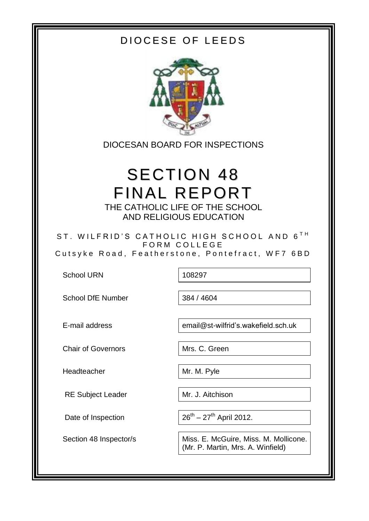## DIOCESE OF LEEDS



DIOCESAN BOARD FOR INSPECTIONS

# SECTION 48 FINAL REPORT THE CATHOLIC LIFE OF THE SCHOOL

AND RELIGIOUS EDUCATION

ST. WILFRID'S CATHOLIC HIGH SCHOOL AND 6<sup>TH</sup> FORM COLLEGE Cutsyke Road, Featherstone, Pontefract, WF7 6BD

School URN 108297

School DfE Number 384 / 4604

E-mail address email@st-wilfrid's.wakefield.sch.uk

 $26^{th} - 27^{th}$  April 2012.

Section 48 Inspector/s **Miss. E. McGuire, Miss. M. Mollicone.** (Mr. P. Martin, Mrs. A. Winfield)

Chair of Governors Mrs. C. Green

Headteacher Mr. M. Pyle

RE Subject Leader Mr. J. Aitchison

Date of Inspection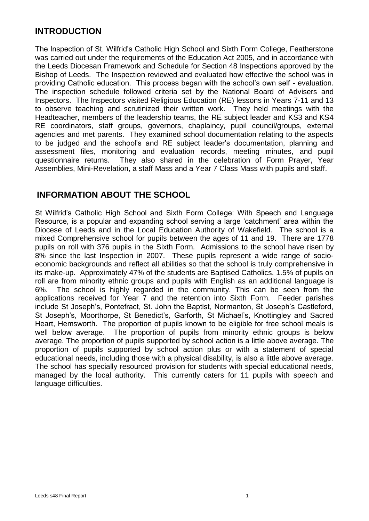#### **INTRODUCTION**

The Inspection of St. Wilfrid's Catholic High School and Sixth Form College, Featherstone was carried out under the requirements of the Education Act 2005, and in accordance with the Leeds Diocesan Framework and Schedule for Section 48 Inspections approved by the Bishop of Leeds. The Inspection reviewed and evaluated how effective the school was in providing Catholic education. This process began with the school's own self - evaluation. The inspection schedule followed criteria set by the National Board of Advisers and Inspectors. The Inspectors visited Religious Education (RE) lessons in Years 7-11 and 13 to observe teaching and scrutinized their written work. They held meetings with the Headteacher, members of the leadership teams, the RE subject leader and KS3 and KS4 RE coordinators, staff groups, governors, chaplaincy, pupil council/groups, external agencies and met parents. They examined school documentation relating to the aspects to be judged and the school's and RE subject leader's documentation, planning and assessment files, monitoring and evaluation records, meeting minutes, and pupil questionnaire returns. They also shared in the celebration of Form Prayer, Year Assemblies, Mini-Revelation, a staff Mass and a Year 7 Class Mass with pupils and staff.

#### **INFORMATION ABOUT THE SCHOOL**

St Wilfrid's Catholic High School and Sixth Form College: With Speech and Language Resource, is a popular and expanding school serving a large 'catchment' area within the Diocese of Leeds and in the Local Education Authority of Wakefield. The school is a mixed Comprehensive school for pupils between the ages of 11 and 19. There are 1778 pupils on roll with 376 pupils in the Sixth Form. Admissions to the school have risen by 8% since the last Inspection in 2007. These pupils represent a wide range of socioeconomic backgrounds and reflect all abilities so that the school is truly comprehensive in its make-up. Approximately 47% of the students are Baptised Catholics. 1.5% of pupils on roll are from minority ethnic groups and pupils with English as an additional language is 6%. The school is highly regarded in the community. This can be seen from the applications received for Year 7 and the retention into Sixth Form. Feeder parishes include St Joseph's, Pontefract, St. John the Baptist, Normanton, St Joseph's Castleford, St Joseph's, Moorthorpe, St Benedict's, Garforth, St Michael's, Knottingley and Sacred Heart, Hemsworth. The proportion of pupils known to be eligible for free school meals is well below average. The proportion of pupils from minority ethnic groups is below average. The proportion of pupils supported by school action is a little above average. The proportion of pupils supported by school action plus or with a statement of special educational needs, including those with a physical disability, is also a little above average. The school has specially resourced provision for students with special educational needs, managed by the local authority. This currently caters for 11 pupils with speech and language difficulties.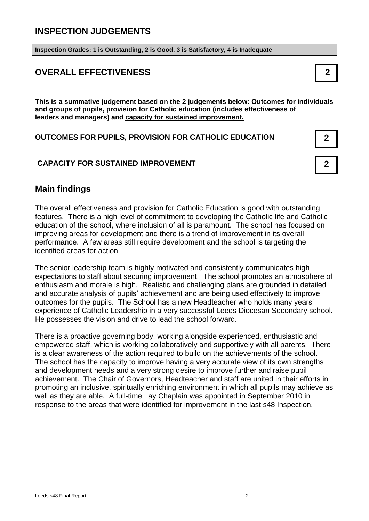#### **INSPECTION JUDGEMENTS**

**Inspection Grades: 1 is Outstanding, 2 is Good, 3 is Satisfactory, 4 is Inadequate**

#### **OVERALL EFFECTIVENESS 2**

**This is a summative judgement based on the 2 judgements below: Outcomes for individuals and groups of pupils, provision for Catholic education (includes effectiveness of leaders and managers) and capacity for sustained improvement.**

#### **OUTCOMES FOR PUPILS, PROVISION FOR CATHOLIC EDUCATION 2**

#### **CAPACITY FOR SUSTAINED IMPROVEMENT 2**



#### **Main findings**

The overall effectiveness and provision for Catholic Education is good with outstanding features. There is a high level of commitment to developing the Catholic life and Catholic education of the school, where inclusion of all is paramount. The school has focused on improving areas for development and there is a trend of improvement in its overall performance. A few areas still require development and the school is targeting the identified areas for action.

The senior leadership team is highly motivated and consistently communicates high expectations to staff about securing improvement. The school promotes an atmosphere of enthusiasm and morale is high. Realistic and challenging plans are grounded in detailed and accurate analysis of pupils' achievement and are being used effectively to improve outcomes for the pupils. The School has a new Headteacher who holds many years' experience of Catholic Leadership in a very successful Leeds Diocesan Secondary school. He possesses the vision and drive to lead the school forward.

There is a proactive governing body, working alongside experienced, enthusiastic and empowered staff, which is working collaboratively and supportively with all parents. There is a clear awareness of the action required to build on the achievements of the school. The school has the capacity to improve having a very accurate view of its own strengths and development needs and a very strong desire to improve further and raise pupil achievement. The Chair of Governors, Headteacher and staff are united in their efforts in promoting an inclusive, spiritually enriching environment in which all pupils may achieve as well as they are able. A full-time Lay Chaplain was appointed in September 2010 in response to the areas that were identified for improvement in the last s48 Inspection.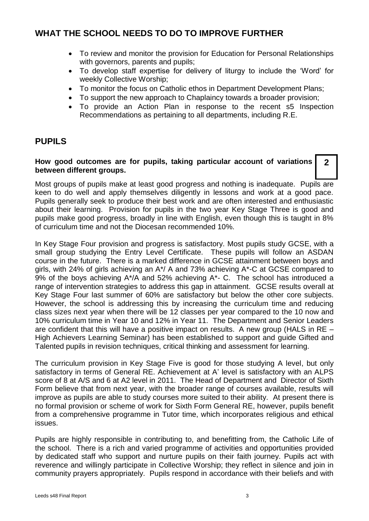#### **WHAT THE SCHOOL NEEDS TO DO TO IMPROVE FURTHER**

- To review and monitor the provision for Education for Personal Relationships with governors, parents and pupils;
- To develop staff expertise for delivery of liturgy to include the 'Word' for weekly Collective Worship;
- To monitor the focus on Catholic ethos in Department Development Plans;
- To support the new approach to Chaplaincy towards a broader provision;
- To provide an Action Plan in response to the recent s5 Inspection Recommendations as pertaining to all departments, including R.E.

#### **PUPILS**

#### **How good outcomes are for pupils, taking particular account of variations between different groups. 2**

Most groups of pupils make at least good progress and nothing is inadequate. Pupils are keen to do well and apply themselves diligently in lessons and work at a good pace. Pupils generally seek to produce their best work and are often interested and enthusiastic about their learning. Provision for pupils in the two year Key Stage Three is good and pupils make good progress, broadly in line with English, even though this is taught in 8% of curriculum time and not the Diocesan recommended 10%.

In Key Stage Four provision and progress is satisfactory. Most pupils study GCSE, with a small group studying the Entry Level Certificate. These pupils will follow an ASDAN course in the future. There is a marked difference in GCSE attainment between boys and girls, with 24% of girls achieving an A\*/ A and 73% achieving A\*-C at GCSE compared to 9% of the boys achieving A\*/A and 52% achieving A\*- C. The school has introduced a range of intervention strategies to address this gap in attainment. GCSE results overall at Key Stage Four last summer of 60% are satisfactory but below the other core subjects. However, the school is addressing this by increasing the curriculum time and reducing class sizes next year when there will be 12 classes per year compared to the 10 now and 10% curriculum time in Year 10 and 12% in Year 11. The Department and Senior Leaders are confident that this will have a positive impact on results. A new group (HALS in RE – High Achievers Learning Seminar) has been established to support and guide Gifted and Talented pupils in revision techniques, critical thinking and assessment for learning.

The curriculum provision in Key Stage Five is good for those studying A level, but only satisfactory in terms of General RE. Achievement at A' level is satisfactory with an ALPS score of 8 at A/S and 6 at A2 level in 2011. The Head of Department and Director of Sixth Form believe that from next year, with the broader range of courses available, results will improve as pupils are able to study courses more suited to their ability. At present there is no formal provision or scheme of work for Sixth Form General RE, however, pupils benefit from a comprehensive programme in Tutor time, which incorporates religious and ethical issues.

Pupils are highly responsible in contributing to, and benefitting from, the Catholic Life of the school. There is a rich and varied programme of activities and opportunities provided by dedicated staff who support and nurture pupils on their faith journey. Pupils act with reverence and willingly participate in Collective Worship; they reflect in silence and join in community prayers appropriately. Pupils respond in accordance with their beliefs and with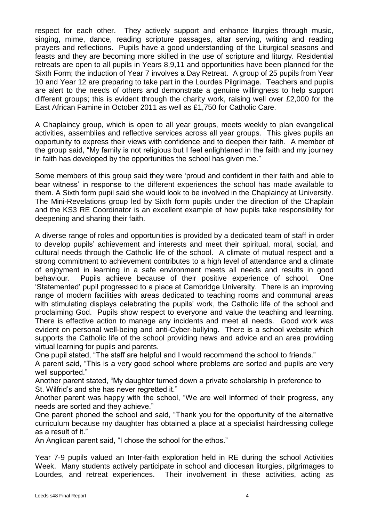respect for each other. They actively support and enhance liturgies through music, singing, mime, dance, reading scripture passages, altar serving, writing and reading prayers and reflections. Pupils have a good understanding of the Liturgical seasons and feasts and they are becoming more skilled in the use of scripture and liturgy. Residential retreats are open to all pupils in Years 8,9,11 and opportunities have been planned for the Sixth Form; the induction of Year 7 involves a Day Retreat. A group of 25 pupils from Year 10 and Year 12 are preparing to take part in the Lourdes Pilgrimage. Teachers and pupils are alert to the needs of others and demonstrate a genuine willingness to help support different groups; this is evident through the charity work, raising well over £2,000 for the East African Famine in October 2011 as well as £1,750 for Catholic Care.

A Chaplaincy group, which is open to all year groups, meets weekly to plan evangelical activities, assemblies and reflective services across all year groups. This gives pupils an opportunity to express their views with confidence and to deepen their faith. A member of the group said, "My family is not religious but I feel enlightened in the faith and my journey in faith has developed by the opportunities the school has given me."

Some members of this group said they were 'proud and confident in their faith and able to bear witness' in response to the different experiences the school has made available to them. A Sixth form pupil said she would look to be involved in the Chaplaincy at University. The Mini-Revelations group led by Sixth form pupils under the direction of the Chaplain and the KS3 RE Coordinator is an excellent example of how pupils take responsibility for deepening and sharing their faith.

A diverse range of roles and opportunities is provided by a dedicated team of staff in order to develop pupils' achievement and interests and meet their spiritual, moral, social, and cultural needs through the Catholic life of the school. A climate of mutual respect and a strong commitment to achievement contributes to a high level of attendance and a climate of enjoyment in learning in a safe environment meets all needs and results in good behaviour. Pupils achieve because of their positive experience of school. One 'Statemented' pupil progressed to a place at Cambridge University. There is an improving range of modern facilities with areas dedicated to teaching rooms and communal areas with stimulating displays celebrating the pupils' work, the Catholic life of the school and proclaiming God. Pupils show respect to everyone and value the teaching and learning. There is effective action to manage any incidents and meet all needs. Good work was evident on personal well-being and anti-Cyber-bullying. There is a school website which supports the Catholic life of the school providing news and advice and an area providing virtual learning for pupils and parents.

One pupil stated, "The staff are helpful and I would recommend the school to friends."

A parent said, "This is a very good school where problems are sorted and pupils are very well supported."

Another parent stated, "My daughter turned down a private scholarship in preference to St. Wilfrid's and she has never regretted it."

Another parent was happy with the school, "We are well informed of their progress, any needs are sorted and they achieve."

One parent phoned the school and said, "Thank you for the opportunity of the alternative curriculum because my daughter has obtained a place at a specialist hairdressing college as a result of it."

An Anglican parent said, "I chose the school for the ethos."

Year 7-9 pupils valued an Inter-faith exploration held in RE during the school Activities Week. Many students actively participate in school and diocesan liturgies, pilgrimages to Lourdes, and retreat experiences. Their involvement in these activities, acting as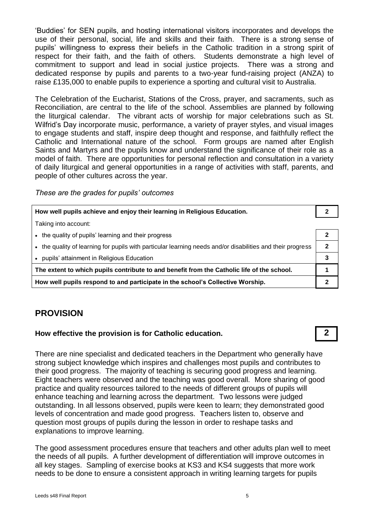'Buddies' for SEN pupils, and hosting international visitors incorporates and develops the use of their personal, social, life and skills and their faith. There is a strong sense of pupils' willingness to express their beliefs in the Catholic tradition in a strong spirit of respect for their faith, and the faith of others. Students demonstrate a high level of commitment to support and lead in social justice projects. There was a strong and dedicated response by pupils and parents to a two-year fund-raising project (ANZA) to raise £135,000 to enable pupils to experience a sporting and cultural visit to Australia.

The Celebration of the Eucharist, Stations of the Cross, prayer, and sacraments, such as Reconciliation, are central to the life of the school. Assemblies are planned by following the liturgical calendar. The vibrant acts of worship for major celebrations such as St. Wilfrid's Day incorporate music, performance, a variety of prayer styles, and visual images to engage students and staff, inspire deep thought and response, and faithfully reflect the Catholic and International nature of the school. Form groups are named after English Saints and Martyrs and the pupils know and understand the significance of their role as a model of faith. There are opportunities for personal reflection and consultation in a variety of daily liturgical and general opportunities in a range of activities with staff, parents, and people of other cultures across the year.

*These are the grades for pupils' outcomes*

| How well pupils achieve and enjoy their learning in Religious Education.                                   |              |
|------------------------------------------------------------------------------------------------------------|--------------|
| Taking into account:                                                                                       |              |
| • the quality of pupils' learning and their progress                                                       | 2            |
| • the quality of learning for pupils with particular learning needs and/or disabilities and their progress | $\mathbf{2}$ |
| • pupils' attainment in Religious Education                                                                | 3            |
| The extent to which pupils contribute to and benefit from the Catholic life of the school.                 |              |
| How well pupils respond to and participate in the school's Collective Worship.                             |              |

#### **PROVISION**

#### **How effective the provision is for Catholic education. 2**

There are nine specialist and dedicated teachers in the Department who generally have strong subject knowledge which inspires and challenges most pupils and contributes to their good progress. The majority of teaching is securing good progress and learning. Eight teachers were observed and the teaching was good overall. More sharing of good practice and quality resources tailored to the needs of different groups of pupils will enhance teaching and learning across the department. Two lessons were judged outstanding. In all lessons observed, pupils were keen to learn; they demonstrated good levels of concentration and made good progress. Teachers listen to, observe and question most groups of pupils during the lesson in order to reshape tasks and explanations to improve learning.

The good assessment procedures ensure that teachers and other adults plan well to meet the needs of all pupils. A further development of differentiation will improve outcomes in all key stages. Sampling of exercise books at KS3 and KS4 suggests that more work needs to be done to ensure a consistent approach in writing learning targets for pupils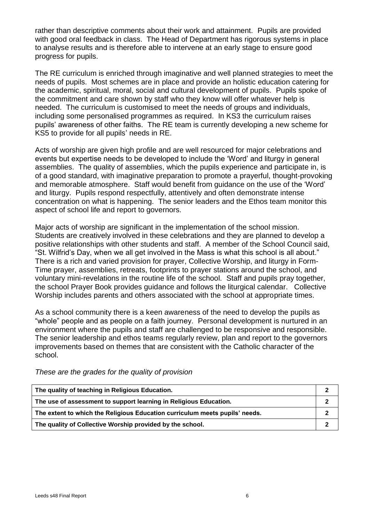rather than descriptive comments about their work and attainment. Pupils are provided with good oral feedback in class. The Head of Department has rigorous systems in place to analyse results and is therefore able to intervene at an early stage to ensure good progress for pupils.

The RE curriculum is enriched through imaginative and well planned strategies to meet the needs of pupils. Most schemes are in place and provide an holistic education catering for the academic, spiritual, moral, social and cultural development of pupils. Pupils spoke of the commitment and care shown by staff who they know will offer whatever help is needed. The curriculum is customised to meet the needs of groups and individuals, including some personalised programmes as required. In KS3 the curriculum raises pupils' awareness of other faiths. The RE team is currently developing a new scheme for KS5 to provide for all pupils' needs in RE.

Acts of worship are given high profile and are well resourced for major celebrations and events but expertise needs to be developed to include the 'Word' and liturgy in general assemblies. The quality of assemblies, which the pupils experience and participate in, is of a good standard, with imaginative preparation to promote a prayerful, thought-provoking and memorable atmosphere. Staff would benefit from guidance on the use of the 'Word' and liturgy. Pupils respond respectfully, attentively and often demonstrate intense concentration on what is happening. The senior leaders and the Ethos team monitor this aspect of school life and report to governors.

Major acts of worship are significant in the implementation of the school mission. Students are creatively involved in these celebrations and they are planned to develop a positive relationships with other students and staff. A member of the School Council said, "St. Wilfrid's Day, when we all get involved in the Mass is what this school is all about." There is a rich and varied provision for prayer, Collective Worship, and liturgy in Form-Time prayer, assemblies, retreats, footprints to prayer stations around the school, and voluntary mini-revelations in the routine life of the school. Staff and pupils pray together, the school Prayer Book provides guidance and follows the liturgical calendar. Collective Worship includes parents and others associated with the school at appropriate times.

As a school community there is a keen awareness of the need to develop the pupils as "whole" people and as people on a faith journey. Personal development is nurtured in an environment where the pupils and staff are challenged to be responsive and responsible. The senior leadership and ethos teams regularly review, plan and report to the governors improvements based on themes that are consistent with the Catholic character of the school.

*These are the grades for the quality of provision*

| The quality of teaching in Religious Education.                             |  |
|-----------------------------------------------------------------------------|--|
| The use of assessment to support learning in Religious Education.           |  |
| The extent to which the Religious Education curriculum meets pupils' needs. |  |
| The quality of Collective Worship provided by the school.                   |  |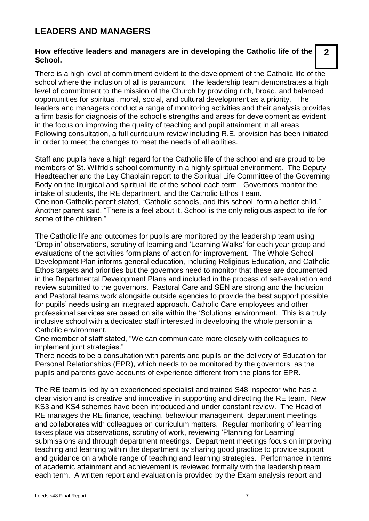### **LEADERS AND MANAGERS**

#### **How effective leaders and managers are in developing the Catholic life of the School.**

There is a high level of commitment evident to the development of the Catholic life of the school where the inclusion of all is paramount. The leadership team demonstrates a high level of commitment to the mission of the Church by providing rich, broad, and balanced opportunities for spiritual, moral, social, and cultural development as a priority. The leaders and managers conduct a range of monitoring activities and their analysis provides a firm basis for diagnosis of the school's strengths and areas for development as evident in the focus on improving the quality of teaching and pupil attainment in all areas. Following consultation, a full curriculum review including R.E. provision has been initiated in order to meet the changes to meet the needs of all abilities.

Staff and pupils have a high regard for the Catholic life of the school and are proud to be members of St. Wilfrid's school community in a highly spiritual environment. The Deputy Headteacher and the Lay Chaplain report to the Spiritual Life Committee of the Governing Body on the liturgical and spiritual life of the school each term. Governors monitor the intake of students, the RE department, and the Catholic Ethos Team. One non-Catholic parent stated, "Catholic schools, and this school, form a better child." Another parent said, "There is a feel about it. School is the only religious aspect to life for some of the children."

The Catholic life and outcomes for pupils are monitored by the leadership team using 'Drop in' observations, scrutiny of learning and 'Learning Walks' for each year group and evaluations of the activities form plans of action for improvement. The Whole School Development Plan informs general education, including Religious Education, and Catholic Ethos targets and priorities but the governors need to monitor that these are documented in the Departmental Development Plans and included in the process of self-evaluation and review submitted to the governors. Pastoral Care and SEN are strong and the Inclusion and Pastoral teams work alongside outside agencies to provide the best support possible for pupils' needs using an integrated approach. Catholic Care employees and other professional services are based on site within the 'Solutions' environment. This is a truly inclusive school with a dedicated staff interested in developing the whole person in a Catholic environment.

One member of staff stated, "We can communicate more closely with colleagues to implement joint strategies."

There needs to be a consultation with parents and pupils on the delivery of Education for Personal Relationships (EPR), which needs to be monitored by the governors, as the pupils and parents gave accounts of experience different from the plans for EPR.

The RE team is led by an experienced specialist and trained S48 Inspector who has a clear vision and is creative and innovative in supporting and directing the RE team. New KS3 and KS4 schemes have been introduced and under constant review. The Head of RE manages the RE finance, teaching, behaviour management, department meetings, and collaborates with colleagues on curriculum matters. Regular monitoring of learning takes place via observations, scrutiny of work, reviewing 'Planning for Learning' submissions and through department meetings. Department meetings focus on improving teaching and learning within the department by sharing good practice to provide support and guidance on a whole range of teaching and learning strategies. Performance in terms of academic attainment and achievement is reviewed formally with the leadership team each term. A written report and evaluation is provided by the Exam analysis report and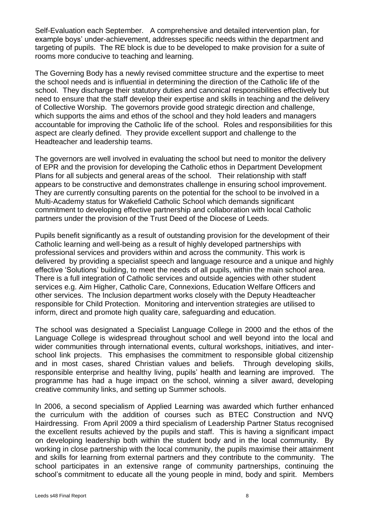Self-Evaluation each September. A comprehensive and detailed intervention plan, for example boys' under-achievement, addresses specific needs within the department and targeting of pupils. The RE block is due to be developed to make provision for a suite of rooms more conducive to teaching and learning.

The Governing Body has a newly revised committee structure and the expertise to meet the school needs and is influential in determining the direction of the Catholic life of the school. They discharge their statutory duties and canonical responsibilities effectively but need to ensure that the staff develop their expertise and skills in teaching and the delivery of Collective Worship. The governors provide good strategic direction and challenge, which supports the aims and ethos of the school and they hold leaders and managers accountable for improving the Catholic life of the school. Roles and responsibilities for this aspect are clearly defined. They provide excellent support and challenge to the Headteacher and leadership teams.

The governors are well involved in evaluating the school but need to monitor the delivery of EPR and the provision for developing the Catholic ethos in Department Development Plans for all subjects and general areas of the school. Their relationship with staff appears to be constructive and demonstrates challenge in ensuring school improvement. They are currently consulting parents on the potential for the school to be involved in a Multi-Academy status for Wakefield Catholic School which demands significant commitment to developing effective partnership and collaboration with local Catholic partners under the provision of the Trust Deed of the Diocese of Leeds.

Pupils benefit significantly as a result of outstanding provision for the development of their Catholic learning and well-being as a result of highly developed partnerships with professional services and providers within and across the community. This work is delivered by providing a specialist speech and language resource and a unique and highly effective 'Solutions' building, to meet the needs of all pupils, within the main school area. There is a full integration of Catholic services and outside agencies with other student services e.g. Aim Higher, Catholic Care, Connexions, Education Welfare Officers and other services. The Inclusion department works closely with the Deputy Headteacher responsible for Child Protection. Monitoring and intervention strategies are utilised to inform, direct and promote high quality care, safeguarding and education.

The school was designated a Specialist Language College in 2000 and the ethos of the Language College is widespread throughout school and well beyond into the local and wider communities through international events, cultural workshops, initiatives, and interschool link projects. This emphasises the commitment to responsible global citizenship and in most cases, shared Christian values and beliefs. Through developing skills, responsible enterprise and healthy living, pupils' health and learning are improved. The programme has had a huge impact on the school, winning a silver award, developing creative community links, and setting up Summer schools.

In 2006, a second specialism of Applied Learning was awarded which further enhanced the curriculum with the addition of courses such as BTEC Construction and NVQ Hairdressing. From April 2009 a third specialism of Leadership Partner Status recognised the excellent results achieved by the pupils and staff. This is having a significant impact on developing leadership both within the student body and in the local community. By working in close partnership with the local community, the pupils maximise their attainment and skills for learning from external partners and they contribute to the community. The school participates in an extensive range of community partnerships, continuing the school's commitment to educate all the young people in mind, body and spirit. Members